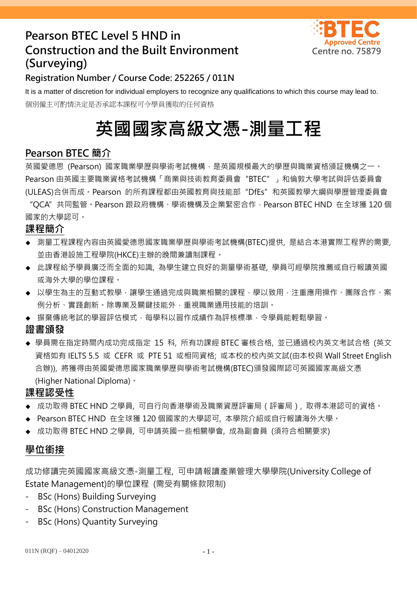# **Pearson BTEC Level 5 HND in Construction and the Built Environment Centre no. 75879 (Surveying)**



# **Registration Number / Course Code: 252265 / 011N**

It is a matter of discretion for individual employers to recognize any qualifications to which this course may lead to. 個別僱主可酌情決定是否承認本課程可令學員獲取的任何資格

# **英國國家高級文憑-測量工程**

# **Pearson BTEC 簡介**

英國愛德思 (Pearson) 國家職業學歷與學術考試機構,是英國規模最大的學歷與職業資格頒証機構之一。 Pearson 由英國主要職業資格考試機構「商業與技術教育委員會"BTEC"」和倫敦大學考試與評估委員會 (ULEAS)合併而成。Pearson 的所有課程都由英國教育與技能部"DfEs"和英國教學大綱與學歷管理委員會

"QCA"共同監管。Pearson 跟政府機構、學術機構及企業緊密合作,Pearson BTEC HND 在全球獲 120 個 國家的大學認可。

## **課程簡介**

- 測量工程課程內容由英國愛德思國家職業學歷與學術考試機構(BTEC)提供, 是結合本港實際工程界的需要, 並由香港設施工程學院(HKCE)主辦的晚間兼讀制課程。
- ◆ 此課程給予學員廣泛而全面的知識, 為學生建立良好的測量學術基礎, 學員可經學院推薦或自行報讀英國 或海外大學的學位課程。
- ◆ 以學生為主的互動式教學,讓學生通過完成與職業相關的課程,學以致用,注重應用操作、團隊合作、案 例分析、實踐創新。除專業及關鍵技能外,重視職業通用技能的培訓。
- ◆ 摒棄傳統考試的學習評估模式,每學科以習作成績作為評核標準,令學員能輕鬆學習。

#### **證書頒發**

◆ 學員需在指定時間內成功完成指定 15 科, 所有功課經 BTEC 審核合格, 並已通過校內英文考試合格 (英文 資格如有 IELTS 5.5 或 CEFR 或 PTE 51 或相同資格; 或本校的校內英文試(由本校與 Wall Street English 合辦)), 將獲得由英國愛德思國家職業學歷與學術考試機構(BTEC)頒發國際認可英國國家高級文憑 (Higher National Diploma)。

## **課程認受性**

- ◆ 成功取得 BTEC HND 之學員, 可自行向香港學術及職業資歷評審局(評審局), 取得本港認可的資格。
- Pearson BTEC HND 在全球獲 120 個國家的大學認可, 本學院介紹或自行報讀海外大學。
- 成功取得 BTEC HND 之學員, 可申請英國一些相關學會, 成為副會員 (須符合相關要求)

# **學位銜接**

成功修讀完英國國家高級文憑-測量工程, 可申請報讀產業管理大學學院(University College of Estate Management)的學位課程 (需受有關條款限制)

- BSc (Hons) Building Surveying
- BSc (Hons) Construction Management
- BSc (Hons) Quantity Surveying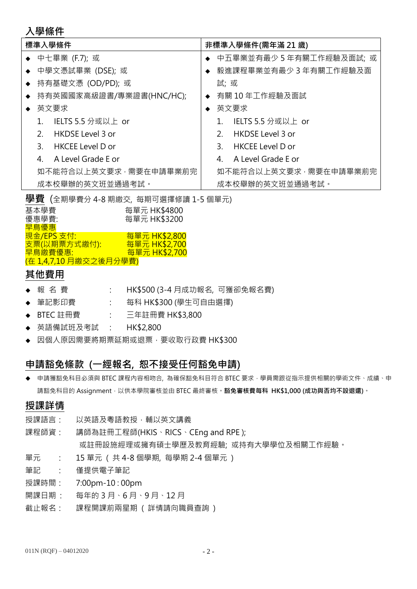## **入學條件**

| 標準入學條件    |                       |                          |                       | 非標準入學條件(需年滿 21 歲) |                          |  |  |
|-----------|-----------------------|--------------------------|-----------------------|-------------------|--------------------------|--|--|
|           |                       | ◆ 中七畢業 (F.7); 或          |                       |                   | 中五畢業並有最少 5 年有關工作經驗及面試; 或 |  |  |
|           |                       | ◆ 中學文憑試畢業 (DSE); 或       |                       |                   | 毅進課程畢業並有最少 3 年有關工作經驗及面   |  |  |
| $\bullet$ | 持有基礎文憑 (OD/PD); 或     |                          |                       | 試; 或              |                          |  |  |
|           |                       | 持有英國國家高級證書/專業證書(HNC/HC); |                       | 有關 10 年工作經驗及面試    |                          |  |  |
|           |                       | 英文要求                     |                       | 英文要求              |                          |  |  |
|           | 1.                    | IELTS 5.5 分或以上 or        |                       |                   | IELTS 5.5 分或以上 or        |  |  |
|           | 2 <sup>1</sup>        | <b>HKDSE Level 3 or</b>  |                       | 2 <sub>1</sub>    | HKDSE Level 3 or         |  |  |
|           | 3 <sub>1</sub>        | HKCEE Level D or         |                       | 3.                | <b>HKCEE Level D or</b>  |  |  |
|           | 4                     | A Level Grade E or       |                       | 4                 | A Level Grade E or       |  |  |
|           | 如不能符合以上英文要求,需要在申請畢業前完 |                          | 如不能符合以上英文要求,需要在申請畢業前完 |                   |                          |  |  |
|           | 成本校舉辦的英文班並通過考試。       |                          | 成本校舉辦的英文班並通過考試。       |                   |                          |  |  |

**學費** (全期學費分 4-8 期繳交, 每期可選擇修讀 1-5 個單元)

| 基本學費                          | 每單元 HK\$4800  |
|-------------------------------|---------------|
| 優惠學費:                         | 每單元 HK\$3200  |
| 早鳥優惠                          |               |
| 現金/EPS 支付:                    | 每單元 HK\$2,800 |
| <u>支票(以期票方式繳付):</u>           | 每單元 HK\$2,700 |
| 早鳥繳費優惠:                       | 每單元 HK\$2,700 |
| <u>(在 1,4,7,10 月繳交之後月分學費)</u> |               |

# **其他費用**

- ◆ 報 名 費 : : HK\$500 (3-4 月成功報名, 可獲卻免報名費)
- ◆ 筆記影印費 : 每科 HK\$300 (學生可自由選擇)
- ◆ BTEC 註冊費 : 三年註冊費 HK\$3,800
- ◆ 英語備試班及考試 : HK\$2.800
- ◆ 因個人原因需要將期票延期或退票, 要收取行政費 HK\$300

# **申請豁免條款 (一經報名, 恕不接受任何豁免申請)**

◆ 申請獲豁免科目必須與 BTEC 課程內容相吻合, 為確保豁免科目符合 BTEC 要求, 學員需跟從指示提供相關的學術文件、成績、申 請豁免科目的 Assignment,以供本學院審核並由 BTEC 最終審核。**豁免審核費每科 HK\$1,000 (成功與否均不設退還)**。

## **授課詳情**

- 授課語言: 以英語及粵語教授,輔以英文講義
- 課程師資 : 講師為註冊工程師(HKIS、RICS、CEng and RPE ); 或註冊設施經理或擁有碩士學歷及教育經驗; 或持有大學學位及相關工作經驗。
- 單元 : 15 單元 ( 共 4-8 個學期, 每學期 2-4 個單元 )
- 筆記 : 僅提供電子筆記
- 授課時間 : 7:00pm-10 : 00pm
- 開課日期: 每年的 3 月 、6 月 、9 月 、12 月
- 截止報名 : 課程開課前兩星期 ( 詳情請向職員查詢 )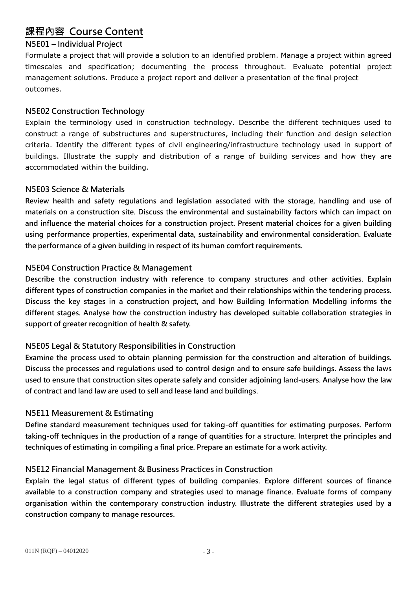# **課程內容 Course Content**

#### **N5E01 – Individual Project**

Formulate a project that will provide a solution to an identified problem. Manage a project within agreed timescales and specification; documenting the process throughout. Evaluate potential project management solutions. Produce a project report and deliver a presentation of the final project outcomes.

#### **N5E02 Construction Technology**

Explain the terminology used in construction technology. Describe the different techniques used to construct a range of substructures and superstructures, including their function and design selection criteria. Identify the different types of civil engineering/infrastructure technology used in support of buildings. Illustrate the supply and distribution of a range of building services and how they are accommodated within the building.

#### **N5E03 Science & Materials**

**Review health and safety regulations and legislation associated with the storage, handling and use of materials on a construction site. Discuss the environmental and sustainability factors which can impact on and influence the material choices for a construction project. Present material choices for a given building using performance properties, experimental data, sustainability and environmental consideration. Evaluate the performance of a given building in respect of its human comfort requirements.** 

#### **N5E04 Construction Practice & Management**

**Describe the construction industry with reference to company structures and other activities. Explain different types of construction companies in the market and their relationships within the tendering process. Discuss the key stages in a construction project, and how Building Information Modelling informs the different stages. Analyse how the construction industry has developed suitable collaboration strategies in support of greater recognition of health & safety.**

#### **N5E05 Legal & Statutory Responsibilities in Construction**

**Examine the process used to obtain planning permission for the construction and alteration of buildings. Discuss the processes and regulations used to control design and to ensure safe buildings. Assess the laws used to ensure that construction sites operate safely and consider adjoining land-users. Analyse how the law of contract and land law are used to sell and lease land and buildings.**

#### **N5E11 Measurement & Estimating**

**Define standard measurement techniques used for taking-off quantities for estimating purposes. Perform taking-off techniques in the production of a range of quantities for a structure. Interpret the principles and techniques of estimating in compiling a final price. Prepare an estimate for a work activity.**

#### **N5E12 Financial Management & Business Practices in Construction**

**Explain the legal status of different types of building companies. Explore different sources of finance available to a construction company and strategies used to manage finance. Evaluate forms of company organisation within the contemporary construction industry. Illustrate the different strategies used by a construction company to manage resources.**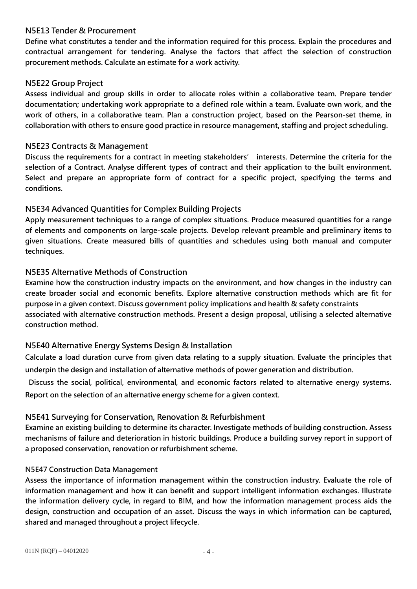#### **N5E13 Tender & Procurement**

**Define what constitutes a tender and the information required for this process. Explain the procedures and contractual arrangement for tendering. Analyse the factors that affect the selection of construction procurement methods. Calculate an estimate for a work activity.**

#### **N5E22 Group Project**

**Assess individual and group skills in order to allocate roles within a collaborative team. Prepare tender documentation; undertaking work appropriate to a defined role within a team. Evaluate own work, and the work of others, in a collaborative team. Plan a construction project, based on the Pearson-set theme, in collaboration with others to ensure good practice in resource management, staffing and project scheduling.** 

#### **N5E23 Contracts & Management**

**Discuss the requirements for a contract in meeting stakeholders' interests. Determine the criteria for the selection of a Contract. Analyse different types of contract and their application to the built environment. Select and prepare an appropriate form of contract for a specific project, specifying the terms and conditions.**

#### **N5E34 Advanced Quantities for Complex Building Projects**

**Apply measurement techniques to a range of complex situations. Produce measured quantities for a range of elements and components on large-scale projects. Develop relevant preamble and preliminary items to given situations. Create measured bills of quantities and schedules using both manual and computer techniques.**

#### **N5E35 Alternative Methods of Construction**

**Examine how the construction industry impacts on the environment, and how changes in the industry can create broader social and economic benefits. Explore alternative construction methods which are fit for purpose in a given context. Discuss government policy implications and health & safety constraints associated with alternative construction methods. Present a design proposal, utilising a selected alternative construction method.**

#### **N5E40 Alternative Energy Systems Design & Installation**

**Calculate a load duration curve from given data relating to a supply situation. Evaluate the principles that underpin the design and installation of alternative methods of power generation and distribution.**

**Discuss the social, political, environmental, and economic factors related to alternative energy systems. Report on the selection of an alternative energy scheme for a given context.**

#### **N5E41 Surveying for Conservation, Renovation & Refurbishment**

**Examine an existing building to determine its character. Investigate methods of building construction. Assess mechanisms of failure and deterioration in historic buildings. Produce a building survey report in support of a proposed conservation, renovation or refurbishment scheme.**

#### **N5E47 Construction Data Management**

**Assess the importance of information management within the construction industry. Evaluate the role of information management and how it can benefit and support intelligent information exchanges. Illustrate the information delivery cycle, in regard to BIM, and how the information management process aids the design, construction and occupation of an asset. Discuss the ways in which information can be captured, shared and managed throughout a project lifecycle.**